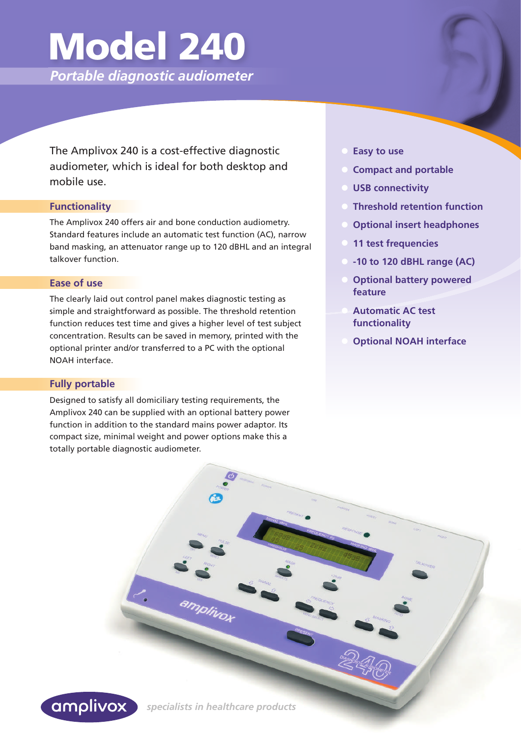## Model 240

 *Portable diagnostic audiometer*

 The Amplivox 240 is a cost-effective diagnostic audiometer, which is ideal for both desktop and mobile use.

#### **Functionality**

The Amplivox 240 offers air and bone conduction audiometry. Standard features include an automatic test function (AC), narrow band masking, an attenuator range up to 120 dBHL and an integral talkover function.

#### **Ease of use**

The clearly laid out control panel makes diagnostic testing as simple and straightforward as possible. The threshold retention function reduces test time and gives a higher level of test subject concentration. Results can be saved in memory, printed with the optional printer and/or transferred to a PC with the optional NOAH interface.

#### **Fully portable**

Designed to satisfy all domiciliary testing requirements, the Amplivox 240 can be supplied with an optional battery power function in addition to the standard mains power adaptor. Its compact size, minimal weight and power options make this a totally portable diagnostic audiometer.

- **Easy to use**
- **Compact and portable**
- **USB connectivity**
- **Threshold retention function**
- **Optional insert headphones**
- **11 test frequencies**
- **-10 to 120 dBHL range (AC)**
- **Optional battery powered feature**
- **Automatic AC test functionality**
- **Optional NOAH interface**



 *specialists in healthcare products* 

amplivox